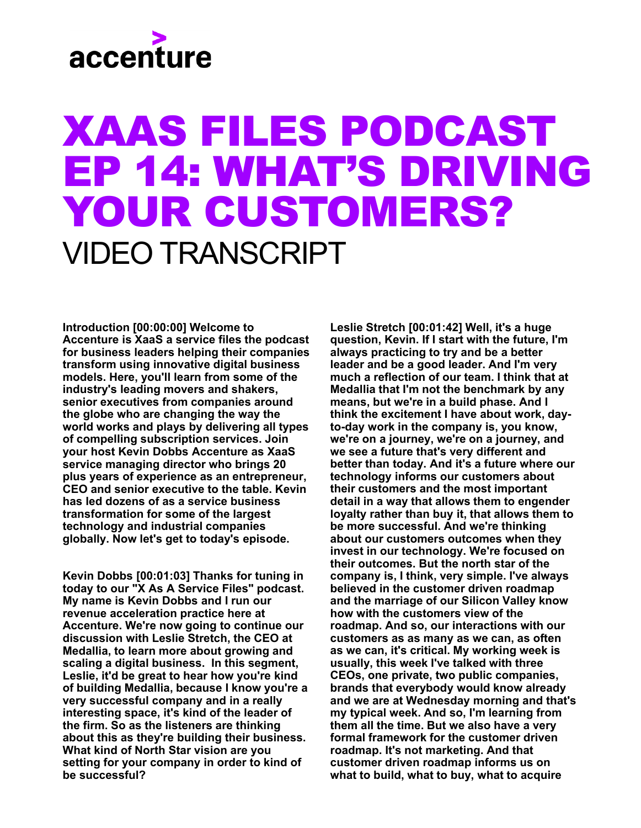#### XAAS FILES PODCAST EP 14: WHAT'S DRIVING YOUR CUSTOMERS? VIDEO TRANSCRIPT

**Introduction [00:00:00] Welcome to Accenture is XaaS a service files the podcast for business leaders helping their companies transform using innovative digital business models. Here, you'll learn from some of the industry's leading movers and shakers, senior executives from companies around the globe who are changing the way the world works and plays by delivering all types of compelling subscription services. Join your host Kevin Dobbs Accenture as XaaS service managing director who brings 20 plus years of experience as an entrepreneur, CEO and senior executive to the table. Kevin has led dozens of as a service business transformation for some of the largest technology and industrial companies globally. Now let's get to today's episode.** 

**Kevin Dobbs [00:01:03] Thanks for tuning in today to our "X As A Service Files" podcast. My name is Kevin Dobbs and I run our revenue acceleration practice here at Accenture. We're now going to continue our discussion with Leslie Stretch, the CEO at Medallia, to learn more about growing and scaling a digital business. In this segment, Leslie, it'd be great to hear how you're kind of building Medallia, because I know you're a very successful company and in a really interesting space, it's kind of the leader of the firm. So as the listeners are thinking about this as they're building their business. What kind of North Star vision are you setting for your company in order to kind of be successful?** 

**Leslie Stretch [00:01:42] Well, it's a huge question, Kevin. If I start with the future, I'm always practicing to try and be a better leader and be a good leader. And I'm very much a reflection of our team. I think that at Medallia that I'm not the benchmark by any means, but we're in a build phase. And I think the excitement I have about work, dayto-day work in the company is, you know, we're on a journey, we're on a journey, and we see a future that's very different and better than today. And it's a future where our technology informs our customers about their customers and the most important detail in a way that allows them to engender loyalty rather than buy it, that allows them to be more successful. And we're thinking about our customers outcomes when they invest in our technology. We're focused on their outcomes. But the north star of the company is, I think, very simple. I've always believed in the customer driven roadmap and the marriage of our Silicon Valley know how with the customers view of the roadmap. And so, our interactions with our customers as as many as we can, as often as we can, it's critical. My working week is usually, this week I've talked with three CEOs, one private, two public companies, brands that everybody would know already and we are at Wednesday morning and that's my typical week. And so, I'm learning from them all the time. But we also have a very formal framework for the customer driven roadmap. It's not marketing. And that customer driven roadmap informs us on what to build, what to buy, what to acquire**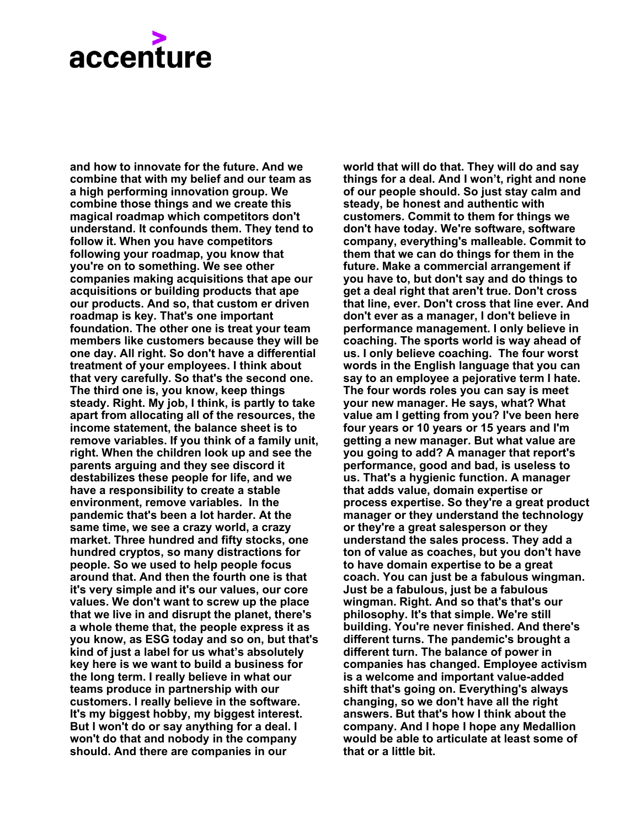**and how to innovate for the future. And we combine that with my belief and our team as a high performing innovation group. We combine those things and we create this magical roadmap which competitors don't understand. It confounds them. They tend to follow it. When you have competitors following your roadmap, you know that you're on to something. We see other companies making acquisitions that ape our acquisitions or building products that ape our products. And so, that custom er driven roadmap is key. That's one important foundation. The other one is treat your team members like customers because they will be one day. All right. So don't have a differential treatment of your employees. I think about that very carefully. So that's the second one. The third one is, you know, keep things steady. Right. My job, I think, is partly to take apart from allocating all of the resources, the income statement, the balance sheet is to remove variables. If you think of a family unit, right. When the children look up and see the parents arguing and they see discord it destabilizes these people for life, and we have a responsibility to create a stable environment, remove variables. In the pandemic that's been a lot harder. At the same time, we see a crazy world, a crazy market. Three hundred and fifty stocks, one hundred cryptos, so many distractions for people. So we used to help people focus around that. And then the fourth one is that it's very simple and it's our values, our core values. We don't want to screw up the place that we live in and disrupt the planet, there's a whole theme that, the people express it as you know, as ESG today and so on, but that's kind of just a label for us what's absolutely key here is we want to build a business for the long term. I really believe in what our teams produce in partnership with our customers. I really believe in the software. It's my biggest hobby, my biggest interest. But I won't do or say anything for a deal. I won't do that and nobody in the company should. And there are companies in our**

**world that will do that. They will do and say things for a deal. And I won't, right and none of our people should. So just stay calm and steady, be honest and authentic with customers. Commit to them for things we don't have today. We're software, software company, everything's malleable. Commit to them that we can do things for them in the future. Make a commercial arrangement if you have to, but don't say and do things to get a deal right that aren't true. Don't cross that line, ever. Don't cross that line ever. And don't ever as a manager, I don't believe in performance management. I only believe in coaching. The sports world is way ahead of us. I only believe coaching. The four worst words in the English language that you can say to an employee a pejorative term I hate. The four words roles you can say is meet your new manager. He says, what? What value am I getting from you? I've been here four years or 10 years or 15 years and I'm getting a new manager. But what value are you going to add? A manager that report's performance, good and bad, is useless to us. That's a hygienic function. A manager that adds value, domain expertise or process expertise. So they're a great product manager or they understand the technology or they're a great salesperson or they understand the sales process. They add a ton of value as coaches, but you don't have to have domain expertise to be a great coach. You can just be a fabulous wingman. Just be a fabulous, just be a fabulous wingman. Right. And so that's that's our philosophy. It's that simple. We're still building. You're never finished. And there's different turns. The pandemic's brought a different turn. The balance of power in companies has changed. Employee activism is a welcome and important value-added shift that's going on. Everything's always changing, so we don't have all the right answers. But that's how I think about the company. And I hope I hope any Medallion would be able to articulate at least some of that or a little bit.**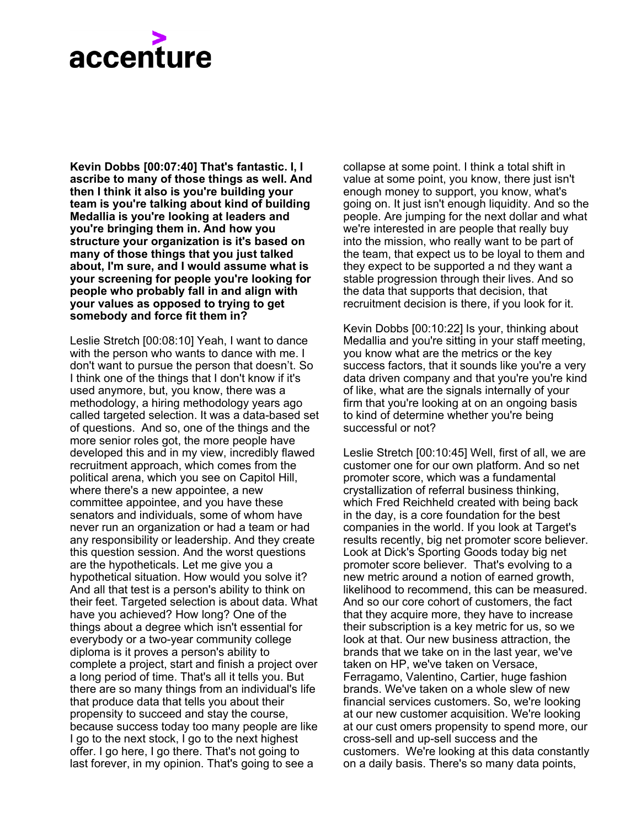**Kevin Dobbs [00:07:40] That's fantastic. I, I ascribe to many of those things as well. And then I think it also is you're building your team is you're talking about kind of building Medallia is you're looking at leaders and you're bringing them in. And how you structure your organization is it's based on many of those things that you just talked about, I'm sure, and I would assume what is your screening for people you're looking for people who probably fall in and align with your values as opposed to trying to get somebody and force fit them in?**

Leslie Stretch [00:08:10] Yeah, I want to dance with the person who wants to dance with me. I don't want to pursue the person that doesn't. So I think one of the things that I don't know if it's used anymore, but, you know, there was a methodology, a hiring methodology years ago called targeted selection. It was a data-based set of questions. And so, one of the things and the more senior roles got, the more people have developed this and in my view, incredibly flawed recruitment approach, which comes from the political arena, which you see on Capitol Hill, where there's a new appointee, a new committee appointee, and you have these senators and individuals, some of whom have never run an organization or had a team or had any responsibility or leadership. And they create this question session. And the worst questions are the hypotheticals. Let me give you a hypothetical situation. How would you solve it? And all that test is a person's ability to think on their feet. Targeted selection is about data. What have you achieved? How long? One of the things about a degree which isn't essential for everybody or a two-year community college diploma is it proves a person's ability to complete a project, start and finish a project over a long period of time. That's all it tells you. But there are so many things from an individual's life that produce data that tells you about their propensity to succeed and stay the course, because success today too many people are like I go to the next stock, I go to the next highest offer. I go here, I go there. That's not going to last forever, in my opinion. That's going to see a

collapse at some point. I think a total shift in value at some point, you know, there just isn't enough money to support, you know, what's going on. It just isn't enough liquidity. And so the people. Are jumping for the next dollar and what we're interested in are people that really buy into the mission, who really want to be part of the team, that expect us to be loyal to them and they expect to be supported a nd they want a stable progression through their lives. And so the data that supports that decision, that recruitment decision is there, if you look for it.

Kevin Dobbs [00:10:22] Is your, thinking about Medallia and you're sitting in your staff meeting, you know what are the metrics or the key success factors, that it sounds like you're a very data driven company and that you're you're kind of like, what are the signals internally of your firm that you're looking at on an ongoing basis to kind of determine whether you're being successful or not?

Leslie Stretch [00:10:45] Well, first of all, we are customer one for our own platform. And so net promoter score, which was a fundamental crystallization of referral business thinking, which Fred Reichheld created with being back in the day, is a core foundation for the best companies in the world. If you look at Target's results recently, big net promoter score believer. Look at Dick's Sporting Goods today big net promoter score believer. That's evolving to a new metric around a notion of earned growth, likelihood to recommend, this can be measured. And so our core cohort of customers, the fact that they acquire more, they have to increase their subscription is a key metric for us, so we look at that. Our new business attraction, the brands that we take on in the last year, we've taken on HP, we've taken on Versace, Ferragamo, Valentino, Cartier, huge fashion brands. We've taken on a whole slew of new financial services customers. So, we're looking at our new customer acquisition. We're looking at our cust omers propensity to spend more, our cross-sell and up-sell success and the customers. We're looking at this data constantly on a daily basis. There's so many data points,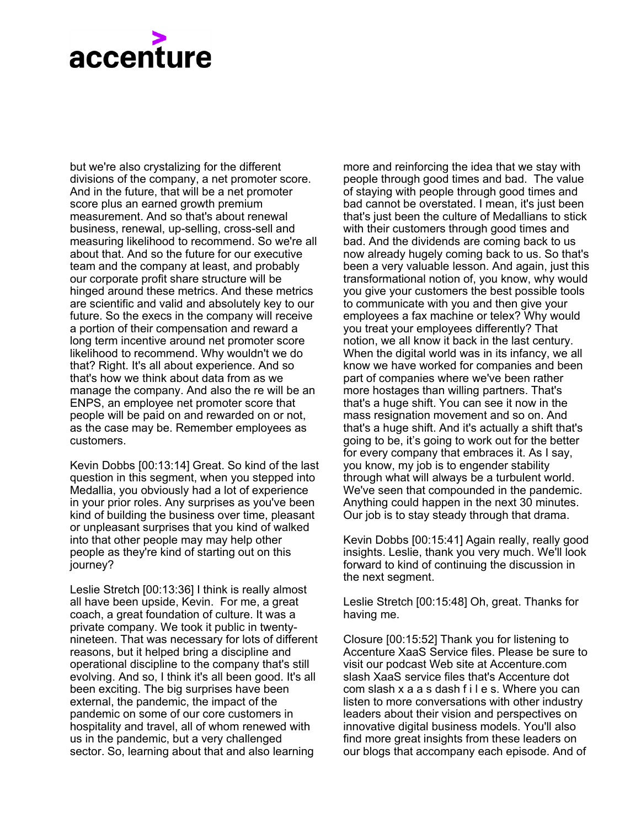but we're also crystalizing for the different divisions of the company, a net promoter score. And in the future, that will be a net promoter score plus an earned growth premium measurement. And so that's about renewal business, renewal, up-selling, cross-sell and measuring likelihood to recommend. So we're all about that. And so the future for our executive team and the company at least, and probably our corporate profit share structure will be hinged around these metrics. And these metrics are scientific and valid and absolutely key to our future. So the execs in the company will receive a portion of their compensation and reward a long term incentive around net promoter score likelihood to recommend. Why wouldn't we do that? Right. It's all about experience. And so that's how we think about data from as we manage the company. And also the re will be an ENPS, an employee net promoter score that people will be paid on and rewarded on or not, as the case may be. Remember employees as customers.

Kevin Dobbs [00:13:14] Great. So kind of the last question in this segment, when you stepped into Medallia, you obviously had a lot of experience in your prior roles. Any surprises as you've been kind of building the business over time, pleasant or unpleasant surprises that you kind of walked into that other people may may help other people as they're kind of starting out on this journey?

Leslie Stretch [00:13:36] I think is really almost all have been upside, Kevin. For me, a great coach, a great foundation of culture. It was a private company. We took it public in twentynineteen. That was necessary for lots of different reasons, but it helped bring a discipline and operational discipline to the company that's still evolving. And so, I think it's all been good. It's all been exciting. The big surprises have been external, the pandemic, the impact of the pandemic on some of our core customers in hospitality and travel, all of whom renewed with us in the pandemic, but a very challenged sector. So, learning about that and also learning

more and reinforcing the idea that we stay with people through good times and bad. The value of staying with people through good times and bad cannot be overstated. I mean, it's just been that's just been the culture of Medallians to stick with their customers through good times and bad. And the dividends are coming back to us now already hugely coming back to us. So that's been a very valuable lesson. And again, just this transformational notion of, you know, why would you give your customers the best possible tools to communicate with you and then give your employees a fax machine or telex? Why would you treat your employees differently? That notion, we all know it back in the last century. When the digital world was in its infancy, we all know we have worked for companies and been part of companies where we've been rather more hostages than willing partners. That's that's a huge shift. You can see it now in the mass resignation movement and so on. And that's a huge shift. And it's actually a shift that's going to be, it's going to work out for the better for every company that embraces it. As I say, you know, my job is to engender stability through what will always be a turbulent world. We've seen that compounded in the pandemic. Anything could happen in the next 30 minutes. Our job is to stay steady through that drama.

Kevin Dobbs [00:15:41] Again really, really good insights. Leslie, thank you very much. We'll look forward to kind of continuing the discussion in the next segment.

Leslie Stretch [00:15:48] Oh, great. Thanks for having me.

Closure [00:15:52] Thank you for listening to Accenture XaaS Service files. Please be sure to visit our podcast Web site at Accenture.com slash XaaS service files that's Accenture dot com slash x a a s dash f i l e s. Where you can listen to more conversations with other industry leaders about their vision and perspectives on innovative digital business models. You'll also find more great insights from these leaders on our blogs that accompany each episode. And of